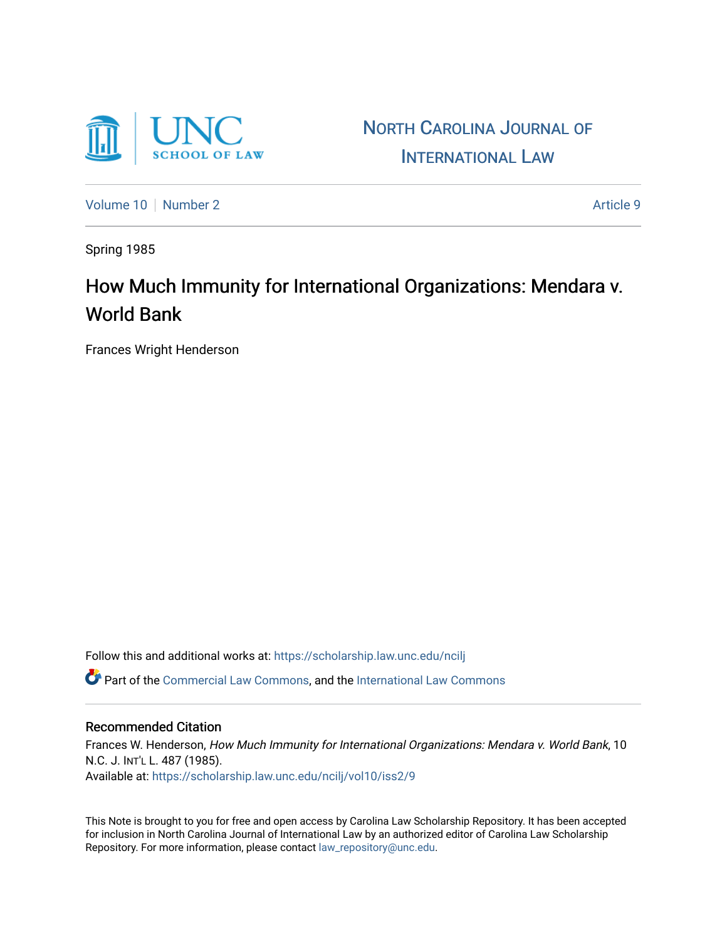

NORTH C[AROLINA](https://scholarship.law.unc.edu/ncilj) JOURNAL OF I[NTERNATIONAL](https://scholarship.law.unc.edu/ncilj) LAW

[Volume 10](https://scholarship.law.unc.edu/ncilj/vol10) [Number 2](https://scholarship.law.unc.edu/ncilj/vol10/iss2) Article 9

Spring 1985

## How Much Immunity for International Organizations: Mendara v. World Bank

Frances Wright Henderson

Follow this and additional works at: [https://scholarship.law.unc.edu/ncilj](https://scholarship.law.unc.edu/ncilj?utm_source=scholarship.law.unc.edu%2Fncilj%2Fvol10%2Fiss2%2F9&utm_medium=PDF&utm_campaign=PDFCoverPages)

Part of the [Commercial Law Commons](http://network.bepress.com/hgg/discipline/586?utm_source=scholarship.law.unc.edu%2Fncilj%2Fvol10%2Fiss2%2F9&utm_medium=PDF&utm_campaign=PDFCoverPages), and the International Law Commons

## Recommended Citation

Frances W. Henderson, How Much Immunity for International Organizations: Mendara v. World Bank, 10 N.C. J. INT'L L. 487 (1985). Available at: [https://scholarship.law.unc.edu/ncilj/vol10/iss2/9](https://scholarship.law.unc.edu/ncilj/vol10/iss2/9?utm_source=scholarship.law.unc.edu%2Fncilj%2Fvol10%2Fiss2%2F9&utm_medium=PDF&utm_campaign=PDFCoverPages)

This Note is brought to you for free and open access by Carolina Law Scholarship Repository. It has been accepted for inclusion in North Carolina Journal of International Law by an authorized editor of Carolina Law Scholarship Repository. For more information, please contact [law\\_repository@unc.edu](mailto:law_repository@unc.edu).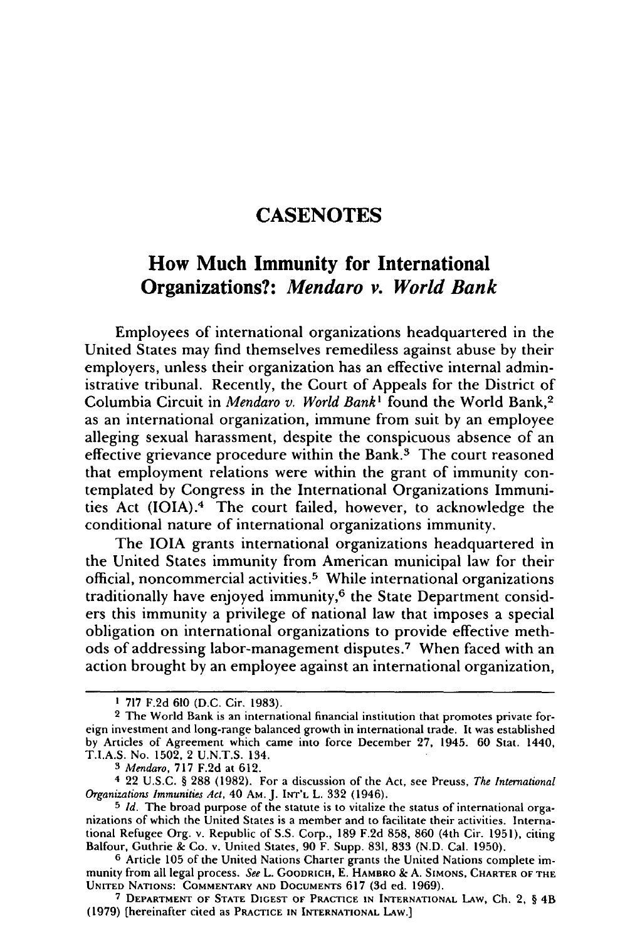## **CASENOTES**

## How Much Immunity for International Organizations?: *Mendaro v. World Bank*

Employees of international organizations headquartered in the United States may find themselves remediless against abuse by their employers, unless their organization has an effective internal administrative tribunal. Recently, the Court of Appeals for the District of Columbia Circuit in *Mendaro v. World Bank<sup>1</sup>* found the World Bank,<sup>2</sup> as an international organization, immune from suit by an employee alleging sexual harassment, despite the conspicuous absence of an effective grievance procedure within the Bank.<sup>3</sup> The court reasoned that employment relations were within the grant of immunity contemplated by Congress in the International Organizations Immunities Act (IOIA).<sup>4</sup> The court failed, however, to acknowledge the conditional nature of international organizations immunity.

The IOIA grants international organizations headquartered in the United States immunity from American municipal law for their official, noncommercial activities. 5 While international organizations traditionally have enjoyed immunity, $6$  the State Department considers this immunity a privilege of national law that imposes a special obligation on international organizations to provide effective methods of addressing labor-management disputes.<sup>7</sup> When faced with an action brought by an employee against an international organization,

**<sup>1 717</sup>** F.2d **610** (D.C. Cir. 1983).

**<sup>2</sup>** The World Bank is an international financial institution that promotes private foreign investment and long-range balanced growth in international trade. It was established by Articles of Agreement which came into force December 27, 1945. 60 Stat. 1440, T.I.A.S. No. 1502, 2 U.N.T.S. 134.

*<sup>3</sup> Mendaro,* 717 F.2d at 612.

<sup>4 22</sup> U.S.C. § 288 (1982). For a discussion of the Act, see Preuss, *The International Organizations Immunities Act,* 40 AM. J. **INT'L** L. 332 (1946).

**<sup>5</sup>** *Id.* The broad purpose of the statute is to vitalize the status of international organizations of which the United States is a member and to facilitate their activities. International Refugee Org. v. Republic of S.S. Corp., 189 F.2d 858, 860 (4th Cir. 1951), citing Balfour, Guthrie & Co. v. United States, 90 F. Supp. 831, 833 (N.D. Cal. 1950).

**<sup>6</sup>** Article 105 of the United Nations Charter grants the United Nations complete immunity from all legal process. *See* L. GOODRICH, **E.** HAMBRO **&** A. **SIMONS,** CHARTER OF **THE UNITED NATIONS:** COMMENTARY **AND DOCUMENTS 617** (3d ed. 1969).

**<sup>7</sup>** DEPARTMENT OF **STATE DIGEST** OF **PRACTICE IN** INTERNATIONAL **LAw, Ch.** 2, § 4B **(1979)** [hereinafter cited as PRACTICE **IN INTERNATIONAL LAW.]**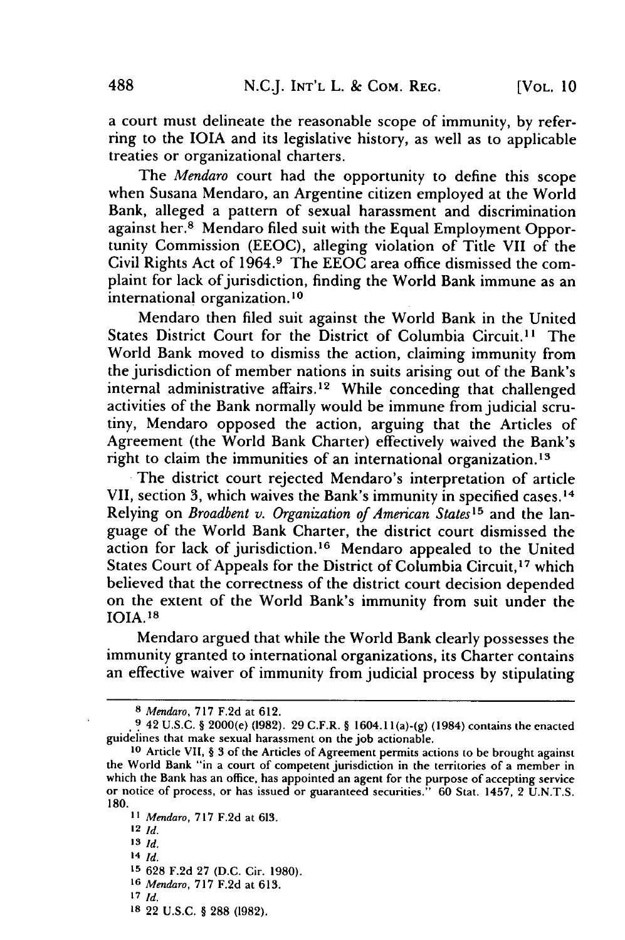a court must delineate the reasonable scope of immunity, by referring to the **IOIA** and its legislative history, as well as to applicable treaties or organizational charters.

The *Mendaro* court had the opportunity to define this scope when Susana Mendaro, an Argentine citizen employed at the World Bank, alleged a pattern of sexual harassment and discrimination against her.8 Mendaro filed suit with the Equal Employment Opportunity Commission (EEOC), alleging violation of Title VII of the Civil Rights Act of 1964. 9 The **EEOC** area office dismissed the complaint for lack of jurisdiction, finding the World Bank immune as an international organization. **10**

Mendaro then filed suit against the World Bank in the United States District Court for the District of Columbia Circuit.'' The World Bank moved to dismiss the action, claiming immunity from the jurisdiction of member nations in suits arising out of the Bank's internal administrative affairs.<sup>12</sup> While conceding that challenged activities of the Bank normally would be immune from judicial scrutiny, Mendaro opposed the action, arguing that the Articles of Agreement (the World Bank Charter) effectively waived the Bank's right to claim the immunities of an international organization.<sup>13</sup>

The district court rejected Mendaro's interpretation of article **VII,** section **3,** which waives the Bank's immunity in specified cases. **14** Relying on *Broadbent v. Organization of American States15* and the language of the World Bank Charter, the district court dismissed the action for lack of jurisdiction.<sup>16</sup> Mendaro appealed to the United States Court of Appeals for the District of Columbia Circuit,<sup>17</sup> which believed that the correctness of the district court decision depended on the extent of the World Bank's immunity from suit under the **IOIA. 1 8**

Mendaro argued that while the World Bank clearly possesses the immunity granted to international organizations, its Charter contains an effective waiver of immunity from judicial process **by** stipulating

12 *Id.*

- *14 Id.*
- **15 628 F.2d 27 (D.C.** Cir. **1980).**
- **16** *Mendaro,* **717 F.2d** at **613.**
- *17 Id.*
- **I8** 22 **U.S.C.** § **288 (1982).**

**<sup>8</sup>** *Mendaro,* **717 F.2d** at **612.**

**<sup>9</sup>** 42 **U.S.C.** § 2000(e) **(1982).** 29 C.F.R. § 1604.1 l(a)-(g) (1984) contains the enacted guidelines that make sexual harassment on the job actionable.

**<sup>10</sup>**Article VII, § 3 of the Articles of Agreement permits actions to be brought against the World Bank "in a court of competent jurisdiction in the territories of a member in which the Bank has an office, has appointed an agent for the purpose of accepting service or notice of process, or has issued or guaranteed securities." **60** Stat. 1457, 2 **U.N.T.S. 180.**

**<sup>11</sup>***Mendaro,* **717 F.2d** at **613.**

**<sup>13</sup>** *Id.*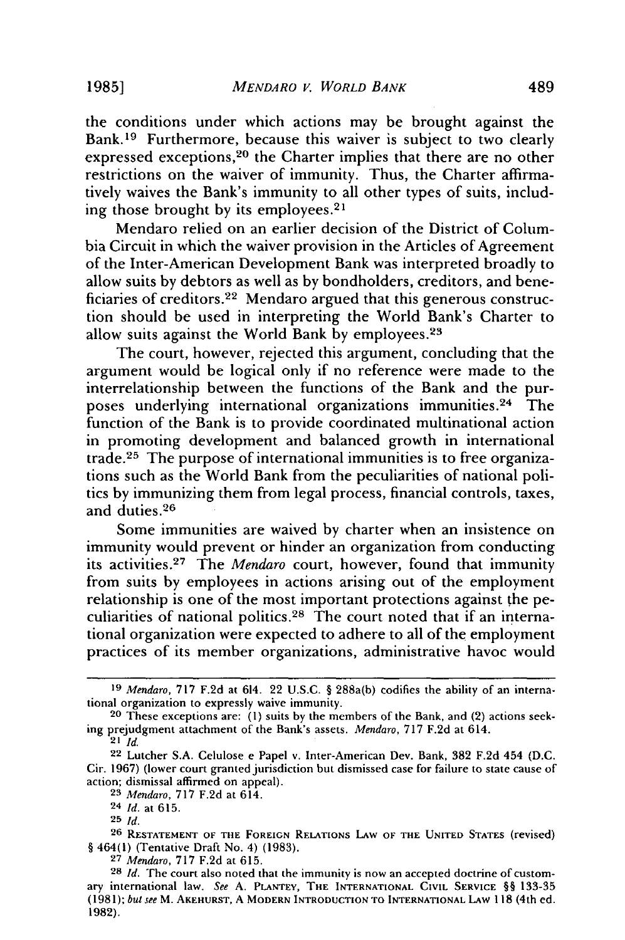the conditions under which actions may be brought against the Bank.<sup>19</sup> Furthermore, because this waiver is subject to two clearly expressed exceptions, 20 the Charter implies that there are no other restrictions on the waiver of immunity. Thus, the Charter affirmatively waives the Bank's immunity to all other types of suits, including those brought by its employees. 2'

Mendaro relied on an earlier decision of the District of Columbia Circuit in which the waiver provision in the Articles of Agreement of the Inter-American Development Bank was interpreted broadly to allow suits by debtors as well as by bondholders, creditors, and beneficiaries of creditors. 22 Mendaro argued that this generous construction should be used in interpreting the World Bank's Charter to allow suits against the World Bank by employees. <sup>23</sup>

The court, however, rejected this argument, concluding that the argument would be logical only if no reference were made to the interrelationship between the functions of the Bank and the purposes underlying international organizations immunities. 24 The function of the Bank is to provide coordinated multinational action in promoting development and balanced growth in international trade.25 The purpose of international immunities is to free organizations such as the World Bank from the peculiarities of national politics by immunizing them from legal process, financial controls, taxes, and duties.<sup>26</sup>

Some immunities are waived by charter when an insistence on immunity would prevent or hinder an organization from conducting its activities. 27 The *Mendaro* court, however, found that immunity from suits by employees in actions arising out of the employment relationship is one of the most important protections against the peculiarities of national politics. 28 The court noted that if an international organization were expected to adhere to all of the employment practices of its member organizations, administrative havoc would

*<sup>19</sup>* Mendaro, **717 F.2d** at 614. 22 U.S.C. § 288a(b) codifies the ability of an international organization to expressly waive immunity.

**<sup>20</sup>** These exceptions are: **(1)** suits by the members of the Bank, and (2) actions seeking prejudgment attachment of the Bank's assets. *Mendaro,* 717 F.2d at 614.

<sup>21</sup> *Id.*

<sup>22</sup> Lutcher S.A. Celulose e Papel v. Inter-American Dev. Bank, 382 F.2d 454 (D.C. Cir. 1967) (lower court granted jurisdiction but dismissed case for failure to state cause of action; dismissal affirmed on appeal).

**<sup>23</sup>** *Mendaro,* 717 F.2d at 614.

<sup>24</sup> *Id.* at 615.

**<sup>25</sup>** *Id.*

**<sup>26</sup> RESTATEMENT** OF **THE FOREIGN RELATIONS LAW OF THE UNITED STATES** (revised) § 464(1) (Tentative Draft No. 4) (1983). **<sup>27</sup>***Mendaro,* 717 F.2d at 615.

**<sup>28</sup>** *Id.* The court also noted that the immunity is now an accepted doctrine of customary international law. *See* A. PLANTEY, **THE INTERNATIONAL** CIVIL SERVICE §§ 133-35 (1981); *but see* M. **AKEHURST,** A MODERN **INTRODUCTION TO INTERNATIONAL LAW** 118 (4th ed. 1982).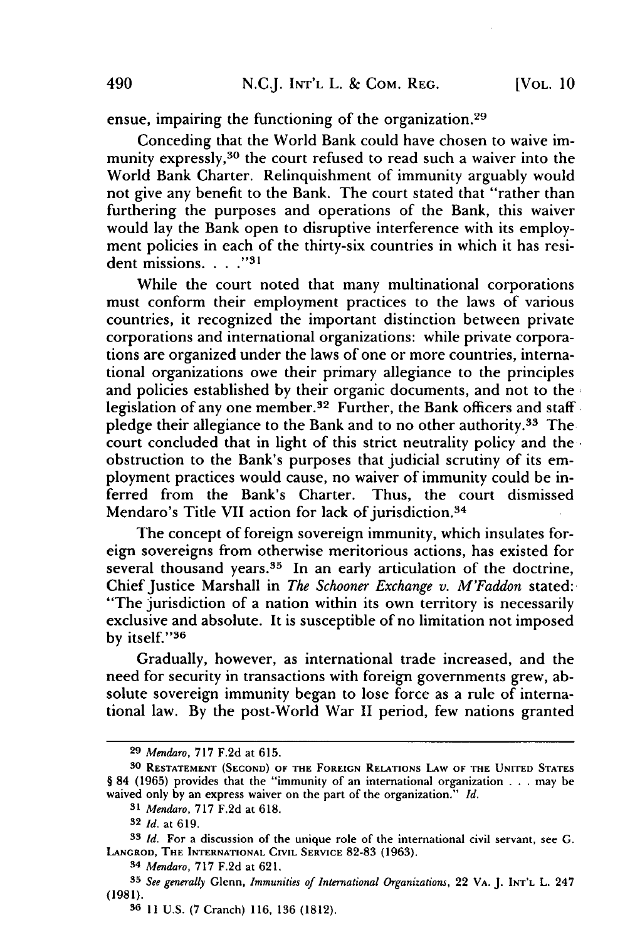ensue, impairing the functioning of the organization.<sup>29</sup>

Conceding that the World Bank could have chosen to waive immunity expressly,<sup>30</sup> the court refused to read such a waiver into the World Bank Charter. Relinquishment of immunity arguably would not give any benefit to the Bank. The court stated that "rather than furthering the purposes and operations of the Bank, this waiver would lay the Bank open to disruptive interference with its employment policies in each of the thirty-six countries in which it has resident missions. . . . "<sup>31</sup>

While the court noted that many multinational corporations must conform their employment practices to the laws of various countries, it recognized the important distinction between private corporations and international organizations: while private corporations are organized under the laws of one or more countries, international organizations owe their primary allegiance to the principles and policies established by their organic documents, and not to the legislation of any one member.<sup>32</sup> Further, the Bank officers and staff pledge their allegiance to the Bank and to no other authority.33 The court concluded that in light of this strict neutrality policy and the obstruction to the Bank's purposes that judicial scrutiny of its employment practices would cause, no waiver of immunity could be inferred from the Bank's Charter. Thus, the court dismissed Mendaro's Title VII action for lack of jurisdiction.<sup>34</sup>

The concept of foreign sovereign immunity, which insulates foreign sovereigns from otherwise meritorious actions, has existed for several thousand years.<sup>35</sup> In an early articulation of the doctrine, Chief Justice Marshall in *The Schooner Exchange v. M'Faddon* stated: "The jurisdiction of a nation within its own territory is necessarily exclusive and absolute. It is susceptible of no limitation not imposed by itself."<sup>36</sup>

Gradually, however, as international trade increased, and the need for security in transactions with foreign governments grew, absolute sovereign immunity began to lose force as a rule of international law. By the post-World War II period, few nations granted

**<sup>29</sup>** *Mendaro,* **717 F.2d** at **615.**

**<sup>30</sup> RESTATEMENT (SECOND) OF THE FOREIGN RELATIONS LAW OF THE UNITED STATES** § 84 (1965) provides that the "immunity of an international organization **. . .** may be waived only **by** an express waiver on the part of the organization." *Id.*

*<sup>31</sup> Mendaro,* **717 F.2d** at **618.**

**<sup>32</sup>** *Id.* at **619.**

**<sup>33</sup>** *Id.* **For** a **discussion of** the **unique role of** the international civil **servant, see G. LANCROD, THE INTERNATIONAL CIVIL SERVICE 82-83 (1963).**

*<sup>34</sup> Mendaro,* **717** F.2d at 621.

*<sup>35</sup> See generally* Glenn, *Immunities of International Organizations,* 22 **VA.** J. **INT'L** L. 247 (1981).

**<sup>36 11</sup> U.S. (7** Cranch) **116, 136 (1812).**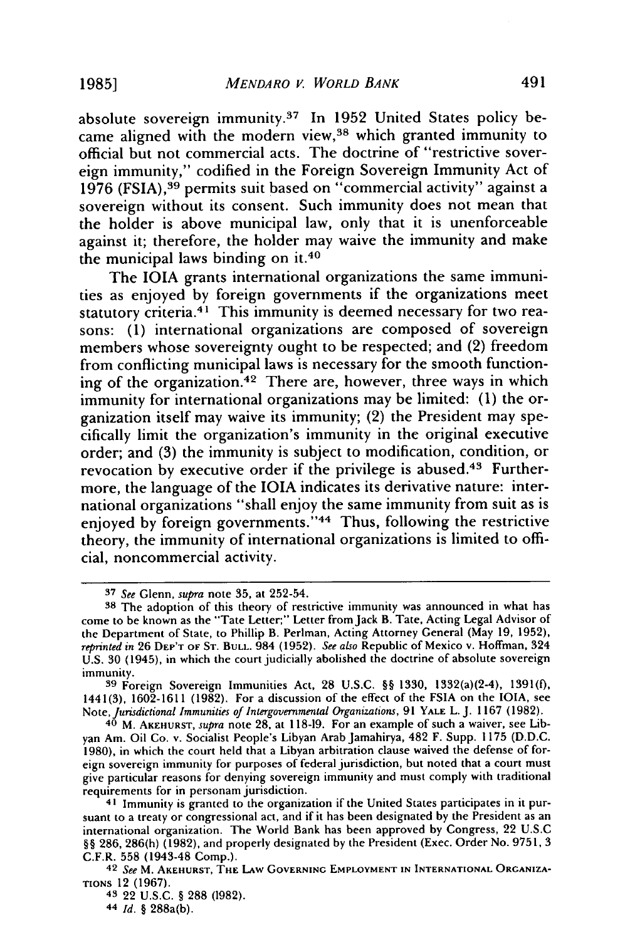absolute sovereign immunity.<sup>37</sup> In 1952 United States policy became aligned with the modern view,<sup>38</sup> which granted immunity to official but not commercial acts. The doctrine of "restrictive sovereign immunity," codified in the Foreign Sovereign Immunity Act of 1976 (FSIA),<sup>39</sup> permits suit based on "commercial activity" against a sovereign without its consent. Such immunity does not mean that the holder is above municipal law, only that it is unenforceable against it; therefore, the holder may waive the immunity and make the municipal laws binding on **it.40**

The **IOIA** grants international organizations the same immunities as enjoyed **by** foreign governments if the organizations meet statutory criteria.<sup>41</sup> This immunity is deemed necessary for two reasons: **(1)** international organizations are composed of sovereign members whose sovereignty ought to be respected; and (2) freedom from conflicting municipal laws is necessary for the smooth functioning of the organization. 42 There are, however, three ways in which immunity for international organizations may be limited: **(1)** the organization itself may waive its immunity; (2) the President may specifically limit the organization's immunity in the original executive order; and **(3)** the immunity is subject to modification, condition, or revocation by executive order if the privilege is abused.<sup>43</sup> Furthermore, the language of the **1OIA** indicates its derivative nature: international organizations "shall enjoy the same immunity from suit as is enjoyed by foreign governments."<sup>44</sup> Thus, following the restrictive theory, the immunity of international organizations is limited to official, noncommercial activity.

**43** 22 **U.S.C. § 288 (1982).**

**44** *Id.* **§** 288a(b).

**<sup>37</sup>** *See* Glenn, *supra* note **35,** at 252-54.

**<sup>38</sup>** The adoption of this theory of restrictive immunity was announced in what has come to be known as the "Tate Letter;" Letter from Jack B. Tate, Acting Legal Advisor of the Department of State, to Phillip B. Perlman, Acting Attorney General (May **19, 1952),** *reprinted in* **26 DEP'T OF ST. BULL.** 984 **(1952).** *See also* Republic of Mexico v. Hoffman, 324 **U.S. 30** (1945), in which the court judicially abolished the doctrine of absolute sovereign immunity.

**<sup>39</sup>**Foreign Sovereign Immunities Act, **28 U.S.C. §§ 1330,** 1332(a)(2-4), **1391(f, 1441(3), 1602-1611 (1982).** For a discussion of the effect of the FSIA on the **IOIA,** see Note, *Jurisdictional Immunities of Intergovernmental Organizations,* **91 YALE** L. **J. 1167 (1982).**

**<sup>40</sup>** M. **AKEHURST,** *supra* note **28,** at **118-19.** For an example of such a waiver, see Libyan Am. Oil Co. v. Socialist People's Libyan Arab Jamahirya, 482 F. Supp. **1175 (D.D.C. 1980),** in which the court held that a Libyan arbitration clause waived the defense of foreign sovereign immunity for purposes of federal jurisdiction, but noted that a court must give particular reasons for denying sovereign immunity and must comply with traditional requirements for in personam jurisdiction.

**<sup>41</sup>** Immunity is granted to the organization if the United States participates in it pursuant to a treaty or congressional act, and if it has been designated **by** the President as an international organization. The World Bank has been approved **by** Congress, 22 **U.S.C §§ 286, 286(h) (1982),** and properly designated **by** the President (Exec. Order No. **9751, 3** C.F.R. **558** (1943-48 Comp.). **<sup>42</sup>***See* M. **AKEHURST, THE** LAw **GOVERNING EMPLOYMENT IN INTERNATIONAL ORGANIZA-**

**TIONS** 12 **(1967).**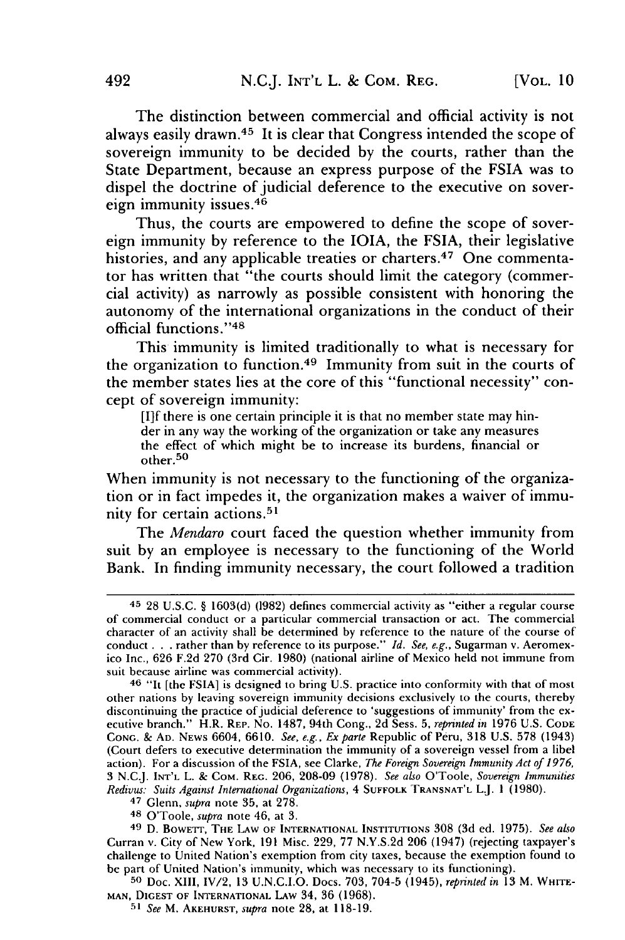The distinction between commercial and official activity is not always easily drawn. 45 It is clear that Congress intended the scope of sovereign immunity to be decided by the courts, rather than the State Department, because an express purpose of the FSIA was to dispel the doctrine of judicial deference to the executive on sovereign immunity issues. <sup>46</sup>

Thus, the courts are empowered to define the scope of sovereign immunity by reference to the IOIA, the FSIA, their legislative histories, and any applicable treaties or charters.<sup>47</sup> One commentator has written that "the courts should limit the category (commercial activity) as narrowly as possible consistent with honoring the autonomy of the international organizations in the conduct of their official functions." <sup>48</sup>

This immunity is limited traditionally to what is necessary for the organization to function. 49 Immunity from suit in the courts of the member states lies at the core of this "functional necessity" concept of sovereign immunity:

[I]f there is one certain principle it is that no member state may hinder in any way the working of the organization or take any measures the effect of which might be to increase its burdens, financial or other.<sup>50</sup>

When immunity is not necessary to the functioning of the organization or in fact impedes it, the organization makes a waiver of immunity for certain actions.<sup>51</sup>

The *Mendaro* court faced the question whether immunity from suit by an employee is necessary to the functioning of the World Bank. In finding immunity necessary, the court followed a tradition

**49** D. BOWETr, THE LAW OF **INTERNATIONAL** INSTITUTIONS **308** (3d ed. **1975).** *See also* Curran v. City of New York, 191 Misc. 229, 77 N.Y.S.2d 206 (1947) (rejecting taxpayer's challenge to United Nation's exemption from city taxes, because the exemption found to be part of United Nation's immunity, which was necessary to its functioning).

**50** Doc. XIII, IV/2, 13 U.N.C.I.O. Docs. 703, 704-5 (1945), *reprinted in* 13 M. WHITE-**MAN, DIGEST** OF INTERNATIONAL LAw 34, 36 **(1968).**

**<sup>51</sup>***See* M. AKEHURST, *supra* note 28, at 118-19.

<sup>45</sup>28 U.S.C. § 1603(d) (1982) defines commercial activity as "either a regular course of commercial conduct or a particular commercial transaction or act. The commercial character of an activity shall be determined by reference to the nature of the course of conduct. **. .**rather than by reference to its purpose." *Id. See, e.g.,* Sugarman v. Aeromexico Inc., 626 F.2d 270 (3rd Cir. 1980) (national airline of Mexico held not immune from suit because airline was commercial activity).

<sup>&</sup>lt;sup>46</sup> "It [the FSIA] is designed to bring U.S. practice into conformity with that of most other nations by leaving sovereign immunity decisions exclusively to the courts, thereby discontinuing the practice of judicial deference to 'suggestions of immunity' from the executive branch." H.R. REP. No. 1487, 94th Cong., 2d Sess. 5, *reprinted in* 1976 U.S. **CODE CONG.** & **AD.** NEWS 6604, 6610. *See, e.g., Exparte* Republic of Peru, 318 U.S. 578 (1943) (Court defers to executive determination the immunity of a sovereign vessel from a libel action). For a discussion of the FSIA, see Clarke, *The Foreign Sovereign Immunity Act of 1976,* 3 NC.J. **INT'L** L. & COM. REG. 206, 208-09 (1978). *See also* O'Toole, *Sovereign Immunities Redivu.s: Suits Against International Organizations,* 4 **SUFFOLK** TRANSNAT'L LJ. **1** (1980).

<sup>47</sup>Glenn, *supra* note 35, at 278.

**<sup>48</sup>** O'Toole, *supra* note 46, at 3.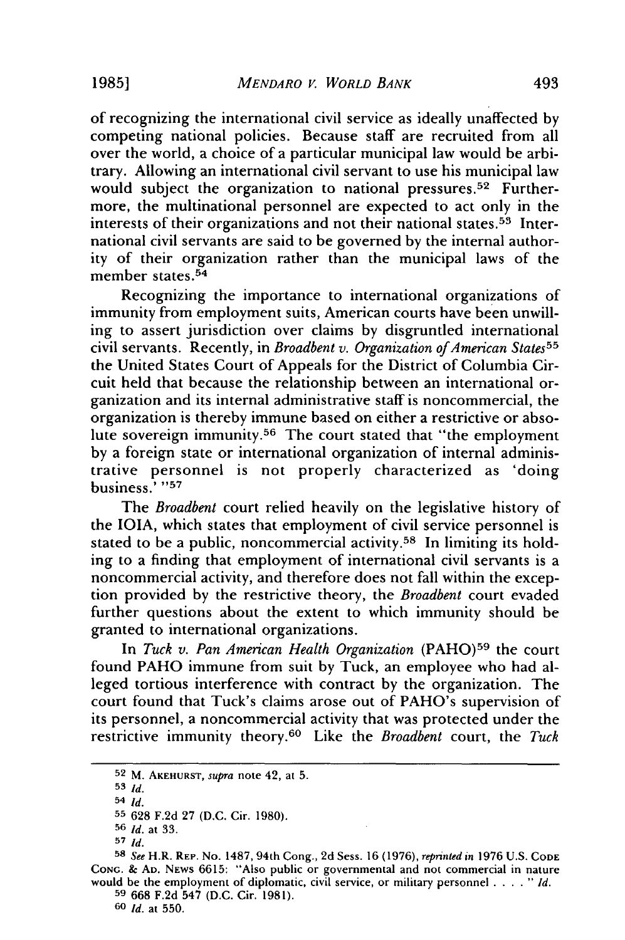of recognizing the international civil service as ideally unaffected by competing national policies. Because staff are recruited from all over the world, a choice of a particular municipal law would be arbitrary. Allowing an international civil servant to use his municipal law would subject the organization to national pressures.<sup>52</sup> Furthermore, the multinational personnel are expected to act only in the interests of their organizations and not their national states. 53 International civil servants are said to be governed by the internal authority of their organization rather than the municipal laws of the member states.<sup>54</sup>

Recognizing the importance to international organizations of immunity from employment suits, American courts have been unwilling to assert jurisdiction over claims by disgruntled international civil servants. Recently, in *Broadbent v. Organization of American States55* the United States Court of Appeals for the District of Columbia Circuit held that because the relationship between an international organization and its internal administrative staff is noncommercial, the organization is thereby immune based on either a restrictive or absolute sovereign immunity. 56 The court stated that "the employment by a foreign state or international organization of internal administrative personnel is not properly characterized as 'doing business.<sup>7</sup> "57

The *Broadbent* court relied heavily on the legislative history of the IOIA, which states that employment of civil service personnel is stated to be a public, noncommercial activity.<sup>58</sup> In limiting its holding to a finding that employment of international civil servants is a noncommercial activity, and therefore does not fall within the exception provided by the restrictive theory, the *Broadbent* court evaded further questions about the extent to which immunity should be granted to international organizations.

In *Tuck v. Pan American Health Organization* (PAHO)<sup>59</sup> the court found PAHO immune from suit by Tuck, an employee who had alleged tortious interference with contract by the organization. The court found that Tuck's claims arose out of PAHO's supervision of its personnel, a noncommercial activity that was protected under the restrictive immunity theory. 60 Like the *Broadbent* court, the *Tuck*

**53** *Id.*

<sup>52</sup> M. AKEHURST, supra note 42, at 5.

<sup>54</sup> *Id.*

**<sup>55</sup>628** F.2d **27** (D.C. Cir. 1980).

<sup>56</sup> *Id.* at **33.**

**<sup>57</sup>** *Id.*

**<sup>58</sup>***See* H.R. REP. No. 1487, 94th Cong., **2d** Sess. 16 (1976), *reprinted in* 1976 U.S. CODE **CONG.** & **AD.** NEWS 6615: "Also public or governmental and not commercial in nature would be the employment of diplomatic, civil service, or military personnel .... *"Id.* **<sup>59</sup>**668 F.2d 547 (D.C. Cir. 1981).

<sup>60</sup> *Id.* at 550.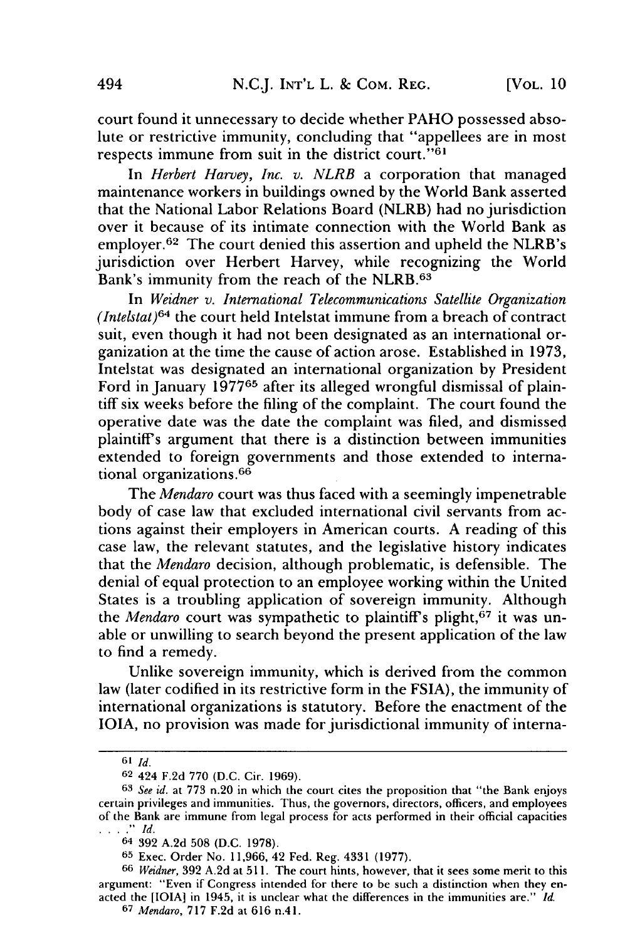court found it unnecessary to decide whether PAHO possessed absolute or restrictive immunity, concluding that "appellees are in most respects immune from suit in the district court."<sup>61</sup>

In *Herbert Harvey, Inc. v. NLRB* a corporation that managed maintenance workers in buildings owned by the World Bank asserted that the National Labor Relations Board (NLRB) had no jurisdiction over it because of its intimate connection with the World Bank as employer.<sup>62</sup> The court denied this assertion and upheld the NLRB's jurisdiction over Herbert Harvey, while recognizing the World Bank's immunity from the reach of the NLRB. <sup>63</sup>

In *Weidner v. International Telecommunications Satellite Organization (Intelstat)6 <sup>4</sup>*the court held Intelstat immune from a breach of contract suit, even though it had not been designated as an international organization at the time the cause of action arose. Established in 1973, Intelstat was designated an international organization by President Ford in January 197765 after its alleged wrongful dismissal of plaintiff six weeks before the filing of the complaint. The court found the operative date was the date the complaint was filed, and dismissed plaintiff's argument that there is a distinction between immunities extended to foreign governments and those extended to international organizations. <sup>66</sup>

The *Mendaro* court was thus faced with a seemingly impenetrable body of case law that excluded international civil servants from actions against their employers in American courts. A reading of this case law, the relevant statutes, and the legislative history indicates that the *Mendaro* decision, although problematic, is defensible. The denial of equal protection to an employee working within the United States is a troubling application of sovereign immunity. Although the *Mendaro* court was sympathetic to plaintiff's plight,<sup>67</sup> it was unable or unwilling to search beyond the present application of the law to find a remedy.

Unlike sovereign immunity, which is derived from the common law (later codified in its restrictive form in the FSIA), the immunity of international organizations is statutory. Before the enactment of the 1OIA, no provision was made for jurisdictional immunity of interna-

**<sup>61</sup>** *Id.*

**<sup>62</sup>** 424 F.2d 770 (D.C. Cir. 1969).

**<sup>63</sup>** *See id.* at 773 n.20 in which the court cites the proposition that "the Bank enjoys certain privileges and immunities. Thus, the governors, directors, officers, and employees of the Bank are immune from legal process for acts performed in their official capacities *. . Id.*

<sup>64 392</sup> A.2d 508 (D.C. 1978).

**<sup>65</sup>** Exec. Order No. 11,966, 42 Fed. Reg. 4331 (1977).

**<sup>66</sup>** *Weidner,* 392 A.2d at 511. The court hints, however, that it sees some merit to this argument: "Even if Congress intended for there to be such a distinction when they enacted the [IOIA] in 1945, it is unclear what the differences in the immunities are." *Id.*

**<sup>67</sup>** *Mendaro,* 717 F.2d at 616 n.41.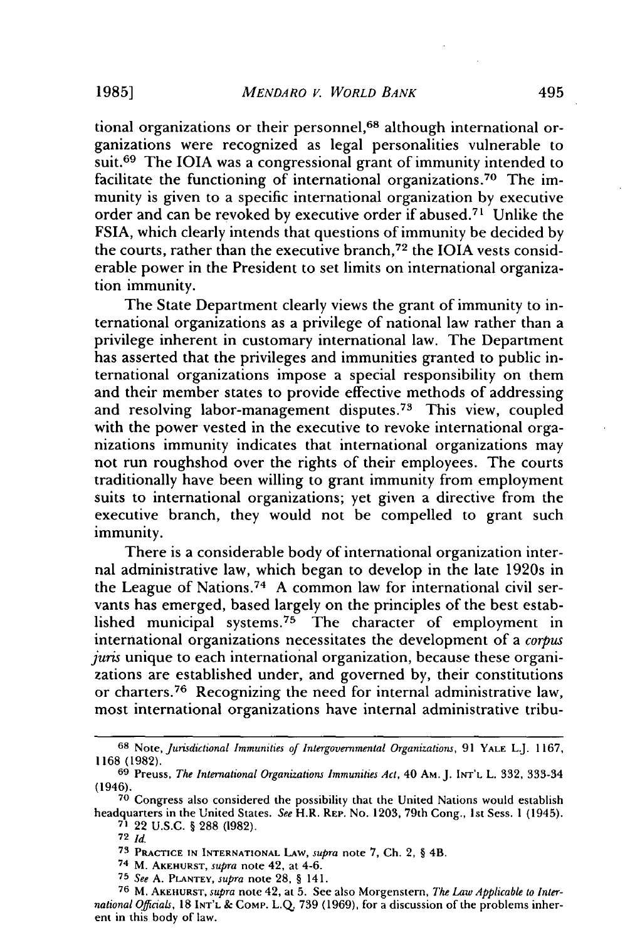tional organizations or their personnel,<sup>68</sup> although international organizations were recognized as legal personalities vulnerable to suit.<sup>69</sup> The IOIA was a congressional grant of immunity intended to facilitate the functioning of international organizations.<sup>70</sup> The immunity is given to a specific international organization by executive order and can be revoked by executive order if abused.<sup>71</sup> Unlike the FSIA, which clearly intends that questions of immunity be decided by the courts, rather than the executive branch,<sup>72</sup> the IOIA vests considerable power in the President to set limits on international organization immunity.

The State Department clearly views the grant of immunity to international organizations as a privilege of national law rather than a privilege inherent in customary international law. The Department has asserted that the privileges and immunities granted to public international organizations impose a special responsibility on them and their member states to provide effective methods of addressing and resolving labor-management disputes.<sup>73</sup> This view, coupled with the power vested in the executive to revoke international organizations immunity indicates that international organizations may not run roughshod over the rights of their employees. The courts traditionally have been willing to grant immunity from employment suits to international organizations; yet given a directive from the executive branch, they would not be compelled to grant such immunity.

There is a considerable body of international organization internal administrative law, which began to develop in the late 1920s in the League of Nations.74 A common law for international civil servants has emerged, based largely on the principles of the best established municipal systems.<sup>75</sup> The character of employment in international organizations necessitates the development of a *corpus juris* unique to each international organization, because these organizations are established under, and governed by, their constitutions or charters.<sup>76</sup> Recognizing the need for internal administrative law, most international organizations have internal administrative tribu-

**<sup>68</sup>** Note, *Jurisdictional Immunities of Intergovernmental Organizations,* 91 YALE L.J. 1167, 1168 (1982).

**<sup>69</sup>** Preuss, *The International Organizations Immunities Act,* 40 **AM.** J. INT'L L. 332, 333-34 (1946). **<sup>70</sup>**Congress also considered the possibility that the United Nations would establish

headquarters in the United States. *See* H.R. REP. No. 1203, 79th Cong., 1st Sess. 1 (1945).

**<sup>71</sup>** 22 U.S.C. § 288 (1982).

**<sup>72</sup>** *Id.*

**<sup>73</sup>** PRACTICE **IN INTERNATIONAL** LAw, *supra* note 7, Ch. 2, § 4B.

<sup>74</sup> M. AKEHURST, *supra* note 42, at 4-6.

**<sup>75</sup>** *See* A. PLANTEY, *supra* note 28, § 141.

**<sup>76</sup>** M. AKEHURST, *supra* note 42, at 5. See also Morgenstern, *The Law Applicable to International Officials,* 18 **INT'L** & COMP. L.Q. 739 (1969), for a discussion of the problems inherent in this body of law.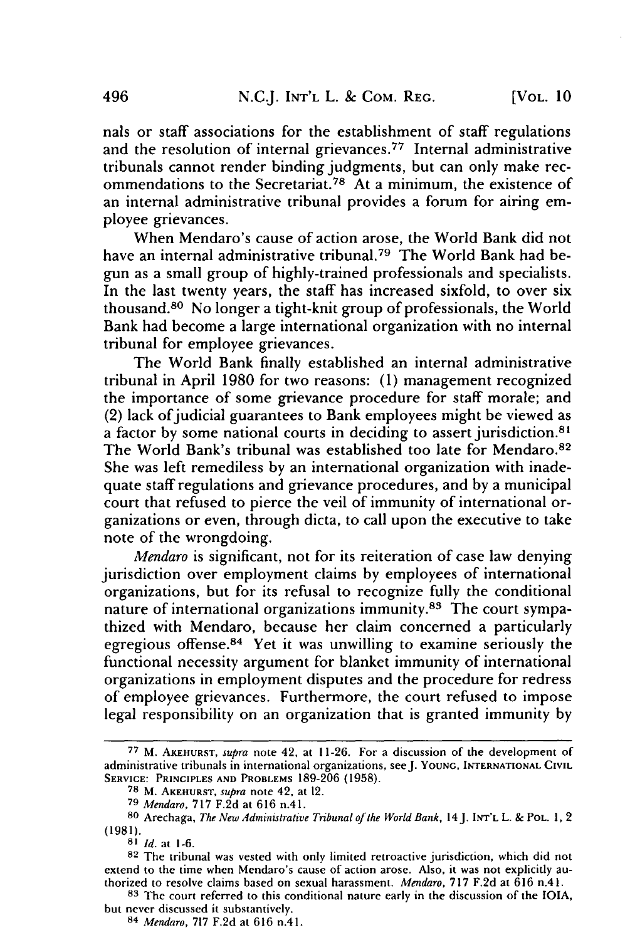nals or staff associations for the establishment of staff regulations and the resolution of internal grievances. 77 Internal administrative tribunals cannot render binding judgments, but can only make recommendations to the Secretariat.<sup>78</sup> At a minimum, the existence of an internal administrative tribunal provides a forum for airing employee grievances.

When Mendaro's cause of action arose, the World Bank did not have an internal administrative tribunal.<sup>79</sup> The World Bank had begun as a small group of highly-trained professionals and specialists. In the last twenty years, the staff has increased sixfold, to over six thousand.80 No longer a tight-knit group of professionals, the World Bank had become a large international organization with no internal tribunal for employee grievances.

The World Bank finally established an internal administrative tribunal in April 1980 for two reasons: (1) management recognized the importance of some grievance procedure for staff morale; and (2) lack of judicial guarantees to Bank employees might be viewed as a factor by some national courts in deciding to assert jurisdiction. 8' The World Bank's tribunal was established too late for Mendaro.<sup>82</sup> She was left remediless by an international organization with inadequate staff regulations and grievance procedures, and by a municipal court that refused to pierce the veil of immunity of international organizations or even, through dicta, to call upon the executive to take note of the wrongdoing.

*Mendaro* is significant, not for its reiteration of case law denying jurisdiction over employment claims by employees of international organizations, but for its refusal to recognize fully the conditional nature of international organizations immunity.<sup>83</sup> The court sympathized with Mendaro, because her claim concerned a particularly egregious offense.<sup>84</sup> Yet it was unwilling to examine seriously the functional necessity argument for blanket immunity of international organizations in employment disputes and the procedure for redress of employee grievances. Furthermore, the court refused to impose legal responsibility on an organization that is granted immunity by

**<sup>77</sup>** M. AKEHURST, *supra* note 42, at 11-26. For a discussion of the development of administrative tribunals in international organizations, seeJ. **YOUNG, INTERNATIONAL** CIVIL SERVICE: PRINCIPLES AND PROBLEMS 189-206 **(1958).**

**<sup>78</sup>** M. **AKEHURST,** *supra* note **42,** at 12.

**<sup>79</sup>** *Mendaro,* **717 F.2d** at **616** n.41.

**<sup>80</sup>** Arechaga, *The New Administrative Tribunal of the World Bank,* **14J.** INT'L L. **&** POL. **1,** 2 **(1981).**

**<sup>81</sup>** *Id.* at 1-6.

**<sup>82</sup>** The tribunal was vested with only limited retroactive jurisdiction, which did not extend to the time when Mendaro's cause of action arose. Also, it was not explicitly authorized to resolve claims based on sexual harassment. *Mendaro,* 717 F.2d at 616 n.41.

**<sup>83</sup>**The court referred to this conditional nature early in the discussion of the IOA, but never discussed it substantively.

<sup>84</sup> *Mendaro,* **717** F.2d at 616 n.41.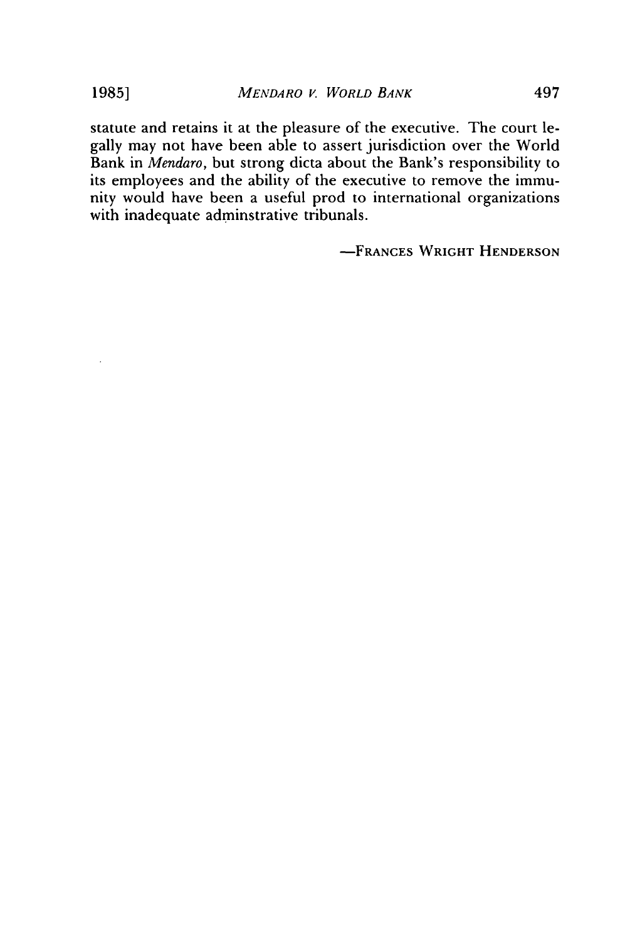statute and retains it at the pleasure of the executive. The court legally may not have been able to assert jurisdiction over the World Bank in *Mendaro,* but strong dicta about the Bank's responsibility to its employees and the ability of the executive to remove the immunity would have been a useful prod to international organizations with inadequate adminstrative tribunals.

**-FRANCES WRIGHT HENDERSON**